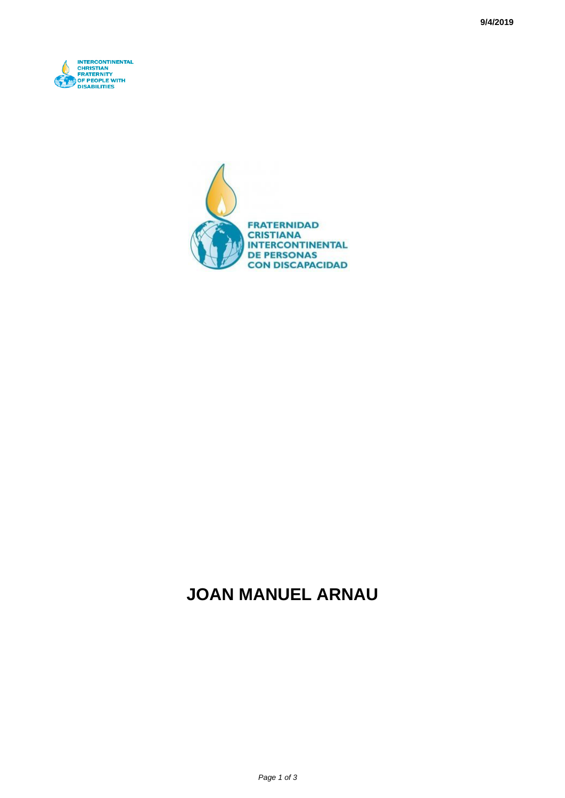



## **JOAN MANUEL ARNAU**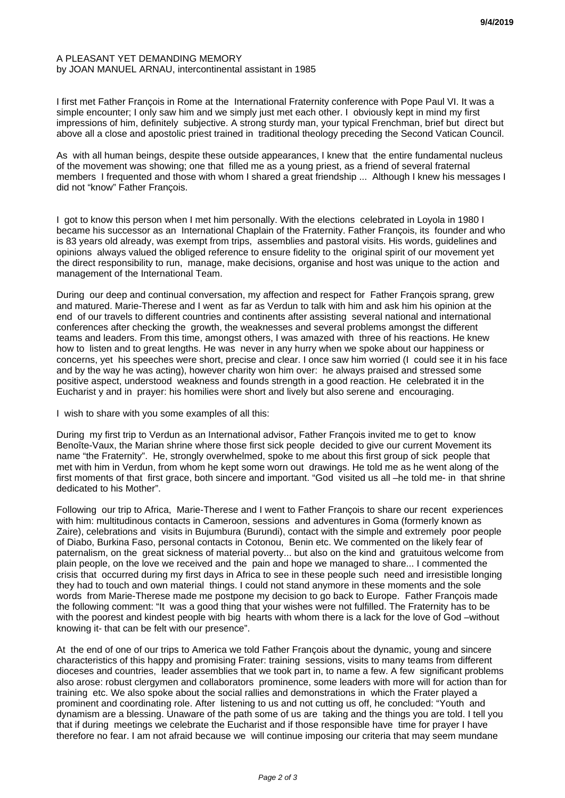## A PLEASANT YET DEMANDING MEMORY by JOAN MANUEL ARNAU, intercontinental assistant in 1985

I first met Father François in Rome at the International Fraternity conference with Pope Paul VI. It was a simple encounter; I only saw him and we simply just met each other. I obviously kept in mind my first impressions of him, definitely subjective. A strong sturdy man, your typical Frenchman, brief but direct but above all a close and apostolic priest trained in traditional theology preceding the Second Vatican Council.

As with all human beings, despite these outside appearances, I knew that the entire fundamental nucleus of the movement was showing; one that filled me as a young priest, as a friend of several fraternal members I frequented and those with whom I shared a great friendship ... Although I knew his messages I did not "know" Father François.

I got to know this person when I met him personally. With the elections celebrated in Loyola in 1980 I became his successor as an International Chaplain of the Fraternity. Father François, its founder and who is 83 years old already, was exempt from trips, assemblies and pastoral visits. His words, guidelines and opinions always valued the obliged reference to ensure fidelity to the original spirit of our movement yet the direct responsibility to run, manage, make decisions, organise and host was unique to the action and management of the International Team.

During our deep and continual conversation, my affection and respect for Father François sprang, grew and matured. Marie-Therese and I went as far as Verdun to talk with him and ask him his opinion at the end of our travels to different countries and continents after assisting several national and international conferences after checking the growth, the weaknesses and several problems amongst the different teams and leaders. From this time, amongst others, I was amazed with three of his reactions. He knew how to listen and to great lengths. He was never in any hurry when we spoke about our happiness or concerns, yet his speeches were short, precise and clear. I once saw him worried (I could see it in his face and by the way he was acting), however charity won him over: he always praised and stressed some positive aspect, understood weakness and founds strength in a good reaction. He celebrated it in the Eucharist y and in prayer: his homilies were short and lively but also serene and encouraging.

I wish to share with you some examples of all this:

During my first trip to Verdun as an International advisor, Father François invited me to get to know Benoîte-Vaux, the Marian shrine where those first sick people decided to give our current Movement its name "the Fraternity". He, strongly overwhelmed, spoke to me about this first group of sick people that met with him in Verdun, from whom he kept some worn out drawings. He told me as he went along of the first moments of that first grace, both sincere and important. "God visited us all –he told me- in that shrine dedicated to his Mother".

Following our trip to Africa, Marie-Therese and I went to Father François to share our recent experiences with him: multitudinous contacts in Cameroon, sessions and adventures in Goma (formerly known as Zaire), celebrations and visits in Bujumbura (Burundi), contact with the simple and extremely poor people of Diabo, Burkina Faso, personal contacts in Cotonou, Benin etc. We commented on the likely fear of paternalism, on the great sickness of material poverty... but also on the kind and gratuitous welcome from plain people, on the love we received and the pain and hope we managed to share... I commented the crisis that occurred during my first days in Africa to see in these people such need and irresistible longing they had to touch and own material things. I could not stand anymore in these moments and the sole words from Marie-Therese made me postpone my decision to go back to Europe. Father François made the following comment: "It was a good thing that your wishes were not fulfilled. The Fraternity has to be with the poorest and kindest people with big hearts with whom there is a lack for the love of God –without knowing it- that can be felt with our presence".

At the end of one of our trips to America we told Father François about the dynamic, young and sincere characteristics of this happy and promising Frater: training sessions, visits to many teams from different dioceses and countries, leader assemblies that we took part in, to name a few. A few significant problems also arose: robust clergymen and collaborators prominence, some leaders with more will for action than for training etc. We also spoke about the social rallies and demonstrations in which the Frater played a prominent and coordinating role. After listening to us and not cutting us off, he concluded: "Youth and dynamism are a blessing. Unaware of the path some of us are taking and the things you are told. I tell you that if during meetings we celebrate the Eucharist and if those responsible have time for prayer I have therefore no fear. I am not afraid because we will continue imposing our criteria that may seem mundane